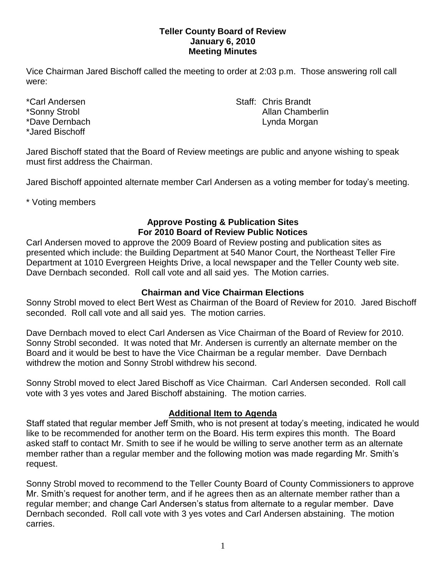### **Teller County Board of Review January 6, 2010 Meeting Minutes**

Vice Chairman Jared Bischoff called the meeting to order at 2:03 p.m. Those answering roll call were:

\*Jared Bischoff

\*Carl Andersen North Staff: Chris Brandt \*Sonny Strobl **Allan Chamberlin** Allan Chamberlin \*Dave Dernbach **Lynda Morgan** Lynda Morgan

Jared Bischoff stated that the Board of Review meetings are public and anyone wishing to speak must first address the Chairman.

Jared Bischoff appointed alternate member Carl Andersen as a voting member for today's meeting.

\* Voting members

## **Approve Posting & Publication Sites For 2010 Board of Review Public Notices**

Carl Andersen moved to approve the 2009 Board of Review posting and publication sites as presented which include: the Building Department at 540 Manor Court, the Northeast Teller Fire Department at 1010 Evergreen Heights Drive, a local newspaper and the Teller County web site. Dave Dernbach seconded. Roll call vote and all said yes. The Motion carries.

# **Chairman and Vice Chairman Elections**

Sonny Strobl moved to elect Bert West as Chairman of the Board of Review for 2010. Jared Bischoff seconded. Roll call vote and all said yes. The motion carries.

Dave Dernbach moved to elect Carl Andersen as Vice Chairman of the Board of Review for 2010. Sonny Strobl seconded. It was noted that Mr. Andersen is currently an alternate member on the Board and it would be best to have the Vice Chairman be a regular member. Dave Dernbach withdrew the motion and Sonny Strobl withdrew his second.

Sonny Strobl moved to elect Jared Bischoff as Vice Chairman. Carl Andersen seconded. Roll call vote with 3 yes votes and Jared Bischoff abstaining. The motion carries.

# **Additional Item to Agenda**

Staff stated that regular member Jeff Smith, who is not present at today's meeting, indicated he would like to be recommended for another term on the Board. His term expires this month. The Board asked staff to contact Mr. Smith to see if he would be willing to serve another term as an alternate member rather than a regular member and the following motion was made regarding Mr. Smith's request.

Sonny Strobl moved to recommend to the Teller County Board of County Commissioners to approve Mr. Smith's request for another term, and if he agrees then as an alternate member rather than a regular member; and change Carl Andersen's status from alternate to a regular member. Dave Dernbach seconded. Roll call vote with 3 yes votes and Carl Andersen abstaining. The motion carries.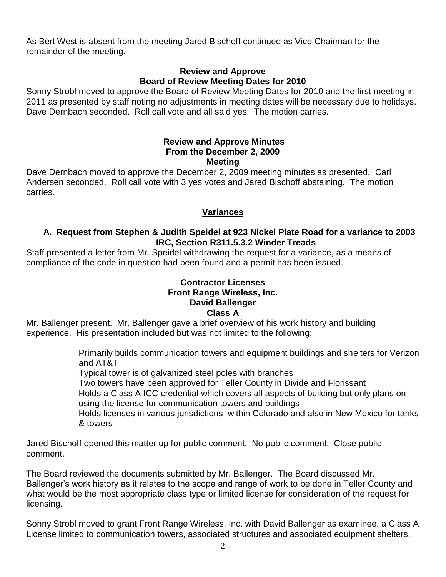As Bert West is absent from the meeting Jared Bischoff continued as Vice Chairman for the remainder of the meeting.

### **Review and Approve Board of Review Meeting Dates for 2010**

Sonny Strobl moved to approve the Board of Review Meeting Dates for 2010 and the first meeting in 2011 as presented by staff noting no adjustments in meeting dates will be necessary due to holidays. Dave Dernbach seconded. Roll call vote and all said yes. The motion carries.

### **Review and Approve Minutes From the December 2, 2009 Meeting**

Dave Dernbach moved to approve the December 2, 2009 meeting minutes as presented. Carl Andersen seconded. Roll call vote with 3 yes votes and Jared Bischoff abstaining. The motion carries.

# **Variances**

## **A. Request from Stephen & Judith Speidel at 923 Nickel Plate Road for a variance to 2003 IRC, Section R311.5.3.2 Winder Treads**

Staff presented a letter from Mr. Speidel withdrawing the request for a variance, as a means of compliance of the code in question had been found and a permit has been issued.

### **Contractor Licenses Front Range Wireless, Inc. David Ballenger Class A**

Mr. Ballenger present. Mr. Ballenger gave a brief overview of his work history and building experience. His presentation included but was not limited to the following:

> Primarily builds communication towers and equipment buildings and shelters for Verizon and AT&T

Typical tower is of galvanized steel poles with branches

Two towers have been approved for Teller County in Divide and Florissant

Holds a Class A ICC credential which covers all aspects of building but only plans on using the license for communication towers and buildings

Holds licenses in various jurisdictions within Colorado and also in New Mexico for tanks & towers

Jared Bischoff opened this matter up for public comment. No public comment. Close public comment.

The Board reviewed the documents submitted by Mr. Ballenger. The Board discussed Mr. Ballenger's work history as it relates to the scope and range of work to be done in Teller County and what would be the most appropriate class type or limited license for consideration of the request for licensing.

Sonny Strobl moved to grant Front Range Wireless, Inc. with David Ballenger as examinee, a Class A License limited to communication towers, associated structures and associated equipment shelters.